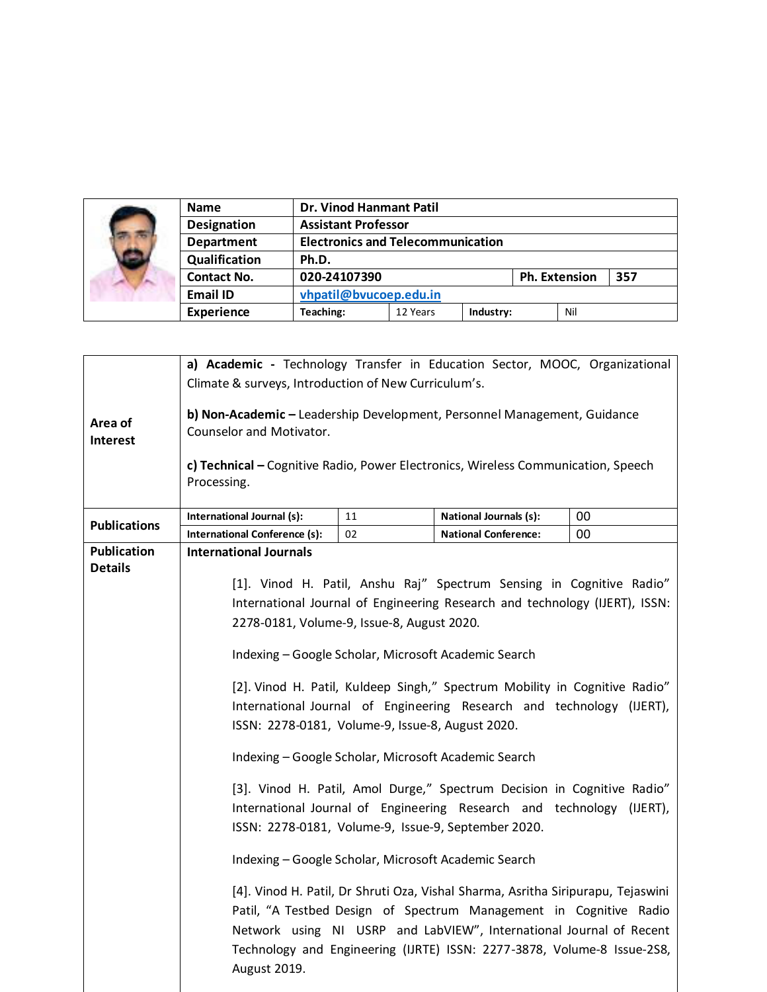|  | <b>Name</b>        | <b>Dr. Vinod Hanmant Patil</b>           |          |           |                      |     |     |
|--|--------------------|------------------------------------------|----------|-----------|----------------------|-----|-----|
|  | <b>Designation</b> | <b>Assistant Professor</b>               |          |           |                      |     |     |
|  | <b>Department</b>  | <b>Electronics and Telecommunication</b> |          |           |                      |     |     |
|  | Qualification      | Ph.D.                                    |          |           |                      |     |     |
|  | <b>Contact No.</b> | 020-24107390                             |          |           | <b>Ph. Extension</b> |     | 357 |
|  | <b>Email ID</b>    | vhpatil@bvucoep.edu.in                   |          |           |                      |     |     |
|  | <b>Experience</b>  | Teaching:                                | 12 Years | Industry: |                      | Nil |     |

|                                      | a) Academic - Technology Transfer in Education Sector, MOOC, Organizational<br>Climate & surveys, Introduction of New Curriculum's.                                                                                                                                                                                      |    |                                                                             |    |  |  |
|--------------------------------------|--------------------------------------------------------------------------------------------------------------------------------------------------------------------------------------------------------------------------------------------------------------------------------------------------------------------------|----|-----------------------------------------------------------------------------|----|--|--|
| Area of<br>Interest                  | b) Non-Academic - Leadership Development, Personnel Management, Guidance<br>Counselor and Motivator.<br>c) Technical - Cognitive Radio, Power Electronics, Wireless Communication, Speech<br>Processing.                                                                                                                 |    |                                                                             |    |  |  |
|                                      |                                                                                                                                                                                                                                                                                                                          |    |                                                                             |    |  |  |
| <b>Publications</b>                  | International Journal (s):                                                                                                                                                                                                                                                                                               | 11 | <b>National Journals (s):</b>                                               | 00 |  |  |
|                                      | <b>International Conference (s):</b>                                                                                                                                                                                                                                                                                     | 02 | <b>National Conference:</b>                                                 | 00 |  |  |
| <b>Publication</b><br><b>Details</b> | <b>International Journals</b>                                                                                                                                                                                                                                                                                            |    |                                                                             |    |  |  |
|                                      |                                                                                                                                                                                                                                                                                                                          |    | [1]. Vinod H. Patil, Anshu Raj" Spectrum Sensing in Cognitive Radio"        |    |  |  |
|                                      |                                                                                                                                                                                                                                                                                                                          |    | International Journal of Engineering Research and technology (IJERT), ISSN: |    |  |  |
|                                      | 2278-0181, Volume-9, Issue-8, August 2020.                                                                                                                                                                                                                                                                               |    |                                                                             |    |  |  |
|                                      | Indexing - Google Scholar, Microsoft Academic Search                                                                                                                                                                                                                                                                     |    |                                                                             |    |  |  |
|                                      | [2]. Vinod H. Patil, Kuldeep Singh," Spectrum Mobility in Cognitive Radio"                                                                                                                                                                                                                                               |    |                                                                             |    |  |  |
|                                      | International Journal of Engineering Research and technology (IJERT),<br>ISSN: 2278-0181, Volume-9, Issue-8, August 2020.                                                                                                                                                                                                |    |                                                                             |    |  |  |
|                                      | Indexing - Google Scholar, Microsoft Academic Search                                                                                                                                                                                                                                                                     |    |                                                                             |    |  |  |
|                                      | [3]. Vinod H. Patil, Amol Durge," Spectrum Decision in Cognitive Radio"<br>International Journal of Engineering Research and technology (IJERT),<br>ISSN: 2278-0181, Volume-9, Issue-9, September 2020.                                                                                                                  |    |                                                                             |    |  |  |
|                                      | Indexing - Google Scholar, Microsoft Academic Search                                                                                                                                                                                                                                                                     |    |                                                                             |    |  |  |
|                                      | [4]. Vinod H. Patil, Dr Shruti Oza, Vishal Sharma, Asritha Siripurapu, Tejaswini<br>Patil, "A Testbed Design of Spectrum Management in Cognitive Radio<br>Network using NI USRP and LabVIEW", International Journal of Recent<br>Technology and Engineering (IJRTE) ISSN: 2277-3878, Volume-8 Issue-2S8,<br>August 2019. |    |                                                                             |    |  |  |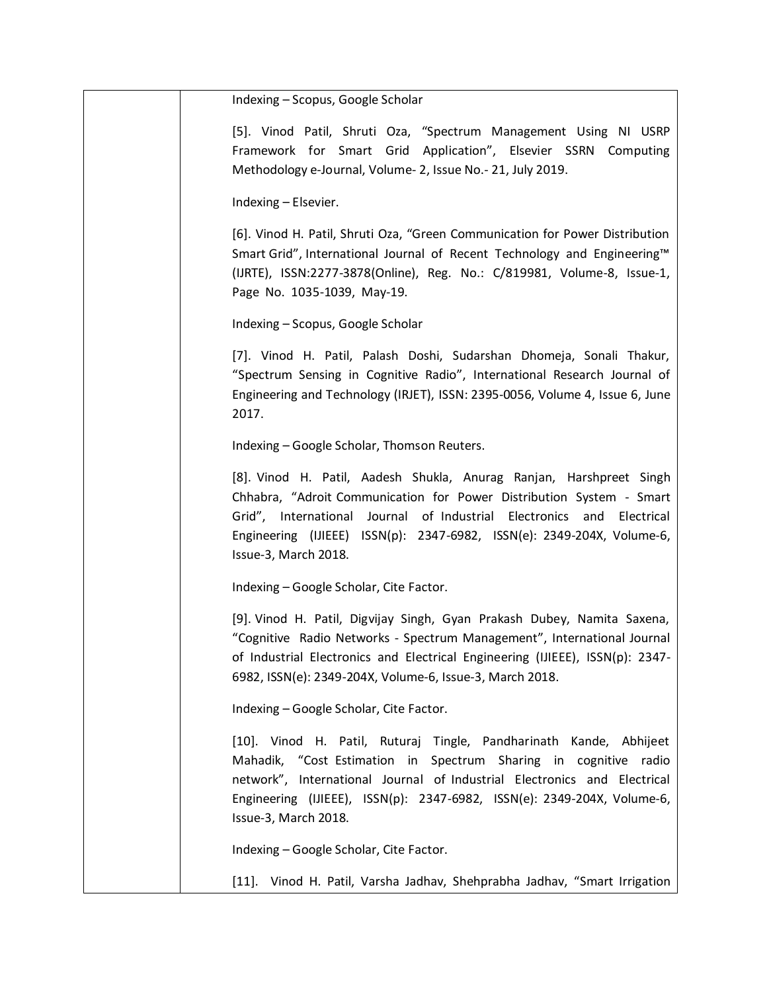| Indexing - Scopus, Google Scholar                                                                                                                                                                                                                                                                                      |
|------------------------------------------------------------------------------------------------------------------------------------------------------------------------------------------------------------------------------------------------------------------------------------------------------------------------|
| [5]. Vinod Patil, Shruti Oza, "Spectrum Management Using NI USRP<br>Framework for Smart Grid Application", Elsevier SSRN Computing<br>Methodology e-Journal, Volume- 2, Issue No.- 21, July 2019.                                                                                                                      |
| Indexing - Elsevier.                                                                                                                                                                                                                                                                                                   |
| [6]. Vinod H. Patil, Shruti Oza, "Green Communication for Power Distribution<br>Smart Grid", International Journal of Recent Technology and Engineering™<br>(IJRTE), ISSN:2277-3878(Online), Reg. No.: C/819981, Volume-8, Issue-1,<br>Page No. 1035-1039, May-19.                                                     |
| Indexing - Scopus, Google Scholar                                                                                                                                                                                                                                                                                      |
| [7]. Vinod H. Patil, Palash Doshi, Sudarshan Dhomeja, Sonali Thakur,<br>"Spectrum Sensing in Cognitive Radio", International Research Journal of<br>Engineering and Technology (IRJET), ISSN: 2395-0056, Volume 4, Issue 6, June<br>2017.                                                                              |
| Indexing - Google Scholar, Thomson Reuters.                                                                                                                                                                                                                                                                            |
| [8]. Vinod H. Patil, Aadesh Shukla, Anurag Ranjan, Harshpreet Singh<br>Chhabra, "Adroit Communication for Power Distribution System - Smart<br>Grid", International Journal of Industrial Electronics and Electrical<br>Engineering (IJIEEE) ISSN(p): 2347-6982, ISSN(e): 2349-204X, Volume-6,<br>Issue-3, March 2018. |
| Indexing - Google Scholar, Cite Factor.                                                                                                                                                                                                                                                                                |
| [9]. Vinod H. Patil, Digvijay Singh, Gyan Prakash Dubey, Namita Saxena,<br>"Cognitive Radio Networks - Spectrum Management", International Journal<br>of Industrial Electronics and Electrical Engineering (IJIEEE), ISSN(p): 2347-<br>6982, ISSN(e): 2349-204X, Volume-6, Issue-3, March 2018.                        |
| Indexing - Google Scholar, Cite Factor.                                                                                                                                                                                                                                                                                |
| [10]. Vinod H. Patil, Ruturaj Tingle, Pandharinath Kande, Abhijeet<br>Mahadik, "Cost Estimation in Spectrum Sharing in cognitive radio<br>network", International Journal of Industrial Electronics and Electrical<br>Engineering (IJIEEE), ISSN(p): 2347-6982, ISSN(e): 2349-204X, Volume-6,<br>Issue-3, March 2018.  |
| Indexing - Google Scholar, Cite Factor.                                                                                                                                                                                                                                                                                |

[11]. Vinod H. Patil, Varsha Jadhav, Shehprabha Jadhav, "Smart Irrigation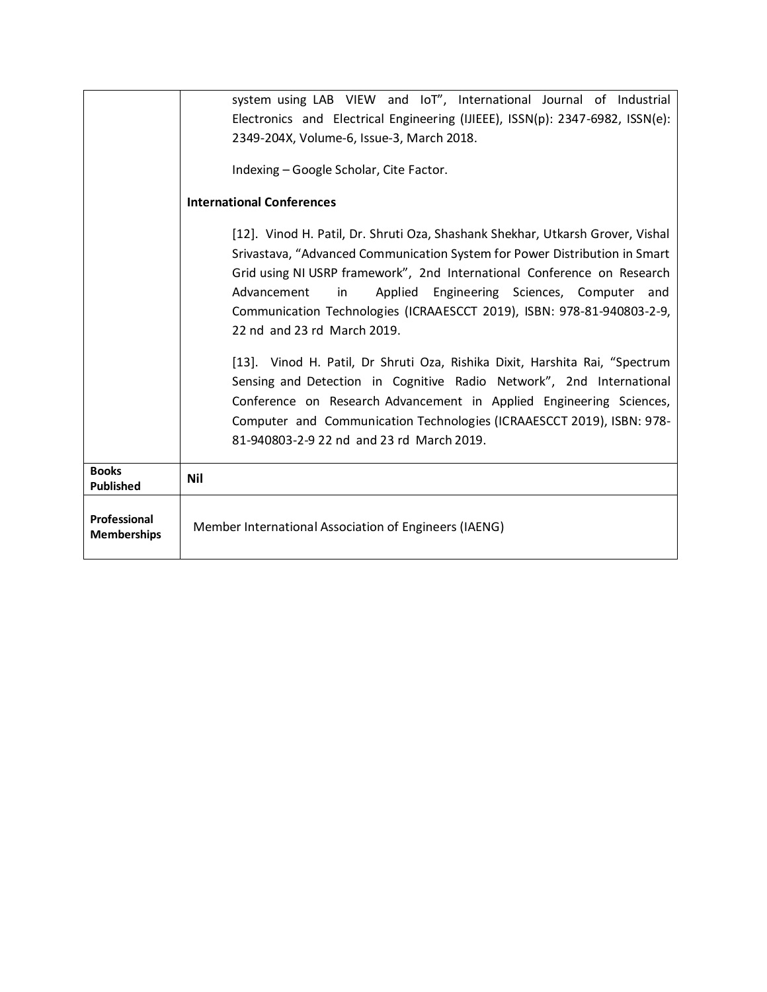|                                    | system using LAB VIEW and IoT", International Journal of Industrial                                                                                                                                                                                                                                                                              |  |  |  |  |
|------------------------------------|--------------------------------------------------------------------------------------------------------------------------------------------------------------------------------------------------------------------------------------------------------------------------------------------------------------------------------------------------|--|--|--|--|
|                                    | Electronics and Electrical Engineering (IJIEEE), ISSN(p): 2347-6982, ISSN(e):                                                                                                                                                                                                                                                                    |  |  |  |  |
|                                    | 2349-204X, Volume-6, Issue-3, March 2018.                                                                                                                                                                                                                                                                                                        |  |  |  |  |
|                                    | Indexing - Google Scholar, Cite Factor.                                                                                                                                                                                                                                                                                                          |  |  |  |  |
|                                    | <b>International Conferences</b>                                                                                                                                                                                                                                                                                                                 |  |  |  |  |
|                                    | [12]. Vinod H. Patil, Dr. Shruti Oza, Shashank Shekhar, Utkarsh Grover, Vishal                                                                                                                                                                                                                                                                   |  |  |  |  |
|                                    | Srivastava, "Advanced Communication System for Power Distribution in Smart<br>Grid using NI USRP framework", 2nd International Conference on Research<br>Applied Engineering Sciences, Computer and<br>Advancement<br>in<br>Communication Technologies (ICRAAESCCT 2019), ISBN: 978-81-940803-2-9,<br>22 nd and 23 rd March 2019.                |  |  |  |  |
|                                    | [13]. Vinod H. Patil, Dr Shruti Oza, Rishika Dixit, Harshita Rai, "Spectrum<br>Sensing and Detection in Cognitive Radio Network", 2nd International<br>Conference on Research Advancement in Applied Engineering Sciences,<br>Computer and Communication Technologies (ICRAAESCCT 2019), ISBN: 978-<br>81-940803-2-9 22 nd and 23 rd March 2019. |  |  |  |  |
| <b>Books</b><br><b>Published</b>   | <b>Nil</b>                                                                                                                                                                                                                                                                                                                                       |  |  |  |  |
| Professional<br><b>Memberships</b> | Member International Association of Engineers (IAENG)                                                                                                                                                                                                                                                                                            |  |  |  |  |